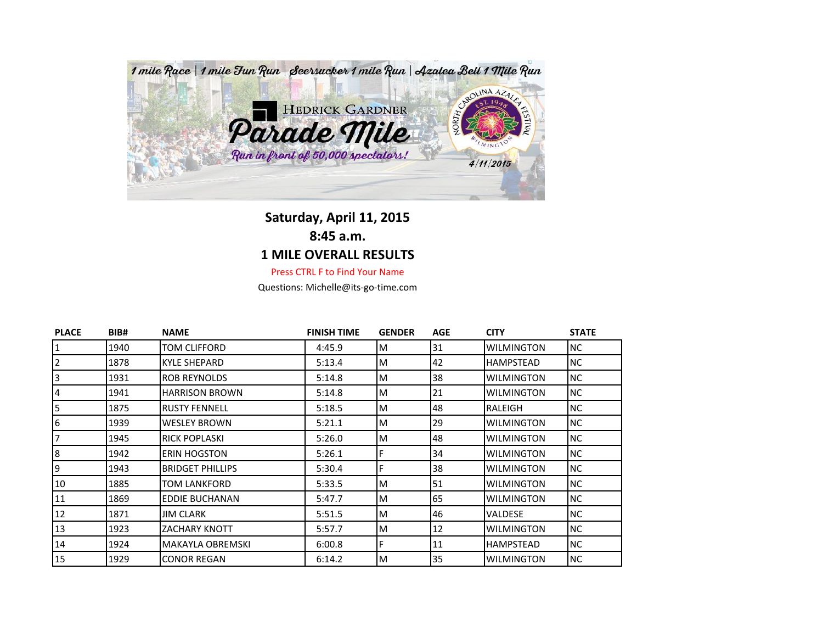

## **Saturday, April 11, 2015**

**8:45 a.m.**

## **1 MILE OVERALL RESULTS**

Press CTRL F to Find Your Name

Questions: Michelle@its-go-time.com

| <b>PLACE</b>   | BIB# | <b>NAME</b>             | <b>FINISH TIME</b> | <b>GENDER</b> | <b>AGE</b> | <b>CITY</b>       | <b>STATE</b> |
|----------------|------|-------------------------|--------------------|---------------|------------|-------------------|--------------|
| $\overline{1}$ | 1940 | TOM CLIFFORD            | 4:45.9             | M             | 31         | <b>WILMINGTON</b> | <b>NC</b>    |
| 2              | 1878 | KYLE SHEPARD            | 5:13.4             | M             | 42         | HAMPSTEAD         | <b>NC</b>    |
| 3              | 1931 | <b>ROB REYNOLDS</b>     | 5:14.8             | M             | 38         | <b>WILMINGTON</b> | <b>NC</b>    |
| 4              | 1941 | <b>HARRISON BROWN</b>   | 5:14.8             | M             | 21         | <b>WILMINGTON</b> | <b>NC</b>    |
| 5              | 1875 | <b>RUSTY FENNELL</b>    | 5:18.5             | M             | 48         | RALEIGH           | <b>NC</b>    |
| 6              | 1939 | WESLEY BROWN            | 5:21.1             | M             | 29         | <b>WILMINGTON</b> | <b>NC</b>    |
| 7              | 1945 | <b>RICK POPLASKI</b>    | 5:26.0             | M             | 48         | <b>WILMINGTON</b> | <b>NC</b>    |
| 8              | 1942 | <b>ERIN HOGSTON</b>     | 5:26.1             |               | 34         | <b>WILMINGTON</b> | <b>NC</b>    |
| 9              | 1943 | <b>BRIDGET PHILLIPS</b> | 5:30.4             |               | 38         | <b>WILMINGTON</b> | <b>NC</b>    |
| 10             | 1885 | TOM LANKFORD            | 5:33.5             | M             | 51         | <b>WILMINGTON</b> | <b>NC</b>    |
| 11             | 1869 | EDDIE BUCHANAN          | 5:47.7             | M             | 65         | <b>WILMINGTON</b> | <b>NC</b>    |
| 12             | 1871 | <b>JIM CLARK</b>        | 5:51.5             | M             | 46         | <b>VALDESE</b>    | <b>NC</b>    |
| 13             | 1923 | <b>ZACHARY KNOTT</b>    | 5:57.7             | M             | 12         | <b>WILMINGTON</b> | <b>NC</b>    |
| 14             | 1924 | MAKAYLA OBREMSKI        | 6:00.8             |               | 11         | <b>HAMPSTEAD</b>  | <b>NC</b>    |
| 15             | 1929 | <b>CONOR REGAN</b>      | 6:14.2             | M             | 35         | <b>WILMINGTON</b> | <b>NC</b>    |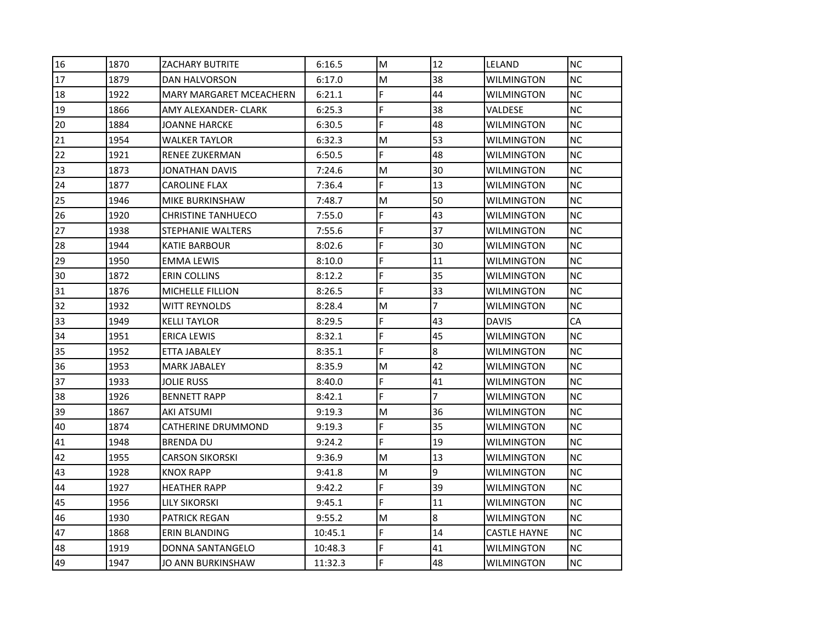| 16 | 1870 | ZACHARY BUTRITE                | 6:16.5  | M  | 12             | LELAND              | <b>NC</b> |
|----|------|--------------------------------|---------|----|----------------|---------------------|-----------|
| 17 | 1879 | DAN HALVORSON                  | 6:17.0  | M  | 38             | WILMINGTON          | <b>NC</b> |
| 18 | 1922 | <b>MARY MARGARET MCEACHERN</b> | 6:21.1  | F  | 44             | <b>WILMINGTON</b>   | <b>NC</b> |
| 19 | 1866 | AMY ALEXANDER- CLARK           | 6:25.3  | F  | 38             | VALDESE             | <b>NC</b> |
| 20 | 1884 | JOANNE HARCKE                  | 6:30.5  | Ë  | 48             | <b>WILMINGTON</b>   | <b>NC</b> |
| 21 | 1954 | WALKER TAYLOR                  | 6:32.3  | M  | 53             | WILMINGTON          | <b>NC</b> |
| 22 | 1921 | RENEE ZUKERMAN                 | 6:50.5  | F  | 48             | <b>WILMINGTON</b>   | <b>NC</b> |
| 23 | 1873 | JONATHAN DAVIS                 | 7:24.6  | M  | 30             | WILMINGTON          | <b>NC</b> |
| 24 | 1877 | <b>CAROLINE FLAX</b>           | 7:36.4  | F  | 13             | WILMINGTON          | <b>NC</b> |
| 25 | 1946 | MIKE BURKINSHAW                | 7:48.7  | M  | 50             | WILMINGTON          | <b>NC</b> |
| 26 | 1920 | <b>CHRISTINE TANHUECO</b>      | 7:55.0  | F  | 43             | WILMINGTON          | <b>NC</b> |
| 27 | 1938 | STEPHANIE WALTERS              | 7:55.6  | F  | 37             | WILMINGTON          | <b>NC</b> |
| 28 | 1944 | KATIE BARBOUR                  | 8:02.6  | F  | 30             | <b>WILMINGTON</b>   | <b>NC</b> |
| 29 | 1950 | EMMA LEWIS                     | 8:10.0  | F  | 11             | <b>WILMINGTON</b>   | <b>NC</b> |
| 30 | 1872 | <b>ERIN COLLINS</b>            | 8:12.2  | Ë  | 35             | WILMINGTON          | <b>NC</b> |
| 31 | 1876 | MICHELLE FILLION               | 8:26.5  | F  | 33             | WILMINGTON          | <b>NC</b> |
| 32 | 1932 | WITT REYNOLDS                  | 8:28.4  | M  | $\overline{7}$ | WILMINGTON          | <b>NC</b> |
| 33 | 1949 | <b>KELLI TAYLOR</b>            | 8:29.5  | F  | 43             | <b>DAVIS</b>        | CA        |
| 34 | 1951 | ERICA LEWIS                    | 8:32.1  | F. | 45             | WILMINGTON          | <b>NC</b> |
| 35 | 1952 | ETTA JABALEY                   | 8:35.1  | F  | l8             | WILMINGTON          | <b>NC</b> |
| 36 | 1953 | MARK JABALEY                   | 8:35.9  | M  | 42             | WILMINGTON          | <b>NC</b> |
| 37 | 1933 | JOLIE RUSS                     | 8:40.0  | F  | 41             | WILMINGTON          | <b>NC</b> |
| 38 | 1926 | <b>BENNETT RAPP</b>            | 8:42.1  | F  | $\overline{7}$ | <b>WILMINGTON</b>   | <b>NC</b> |
| 39 | 1867 | AKI ATSUMI                     | 9:19.3  | М  | 36             | WILMINGTON          | <b>NC</b> |
| 40 | 1874 | CATHERINE DRUMMOND             | 9:19.3  | Ë  | 35             | <b>WILMINGTON</b>   | <b>NC</b> |
| 41 | 1948 | BRENDA DU                      | 9:24.2  | F  | 19             | WILMINGTON          | <b>NC</b> |
| 42 | 1955 | <b>CARSON SIKORSKI</b>         | 9:36.9  | M  | 13             | WILMINGTON          | <b>NC</b> |
| 43 | 1928 | <b>KNOX RAPP</b>               | 9:41.8  | M  | 9              | <b>WILMINGTON</b>   | <b>NC</b> |
| 44 | 1927 | <b>HEATHER RAPP</b>            | 9:42.2  | F. | 39             | <b>WILMINGTON</b>   | <b>NC</b> |
| 45 | 1956 | LILY SIKORSKI                  | 9:45.1  | F. | 11             | WILMINGTON          | <b>NC</b> |
| 46 | 1930 | PATRICK REGAN                  | 9:55.2  | M  | 8              | WILMINGTON          | <b>NC</b> |
| 47 | 1868 | ERIN BLANDING                  | 10:45.1 | F  | 14             | <b>CASTLE HAYNE</b> | <b>NC</b> |
| 48 | 1919 | DONNA SANTANGELO               | 10:48.3 | F  | 41             | <b>WILMINGTON</b>   | <b>NC</b> |
| 49 | 1947 | JO ANN BURKINSHAW              | 11:32.3 | F. | 48             | <b>WILMINGTON</b>   | <b>NC</b> |